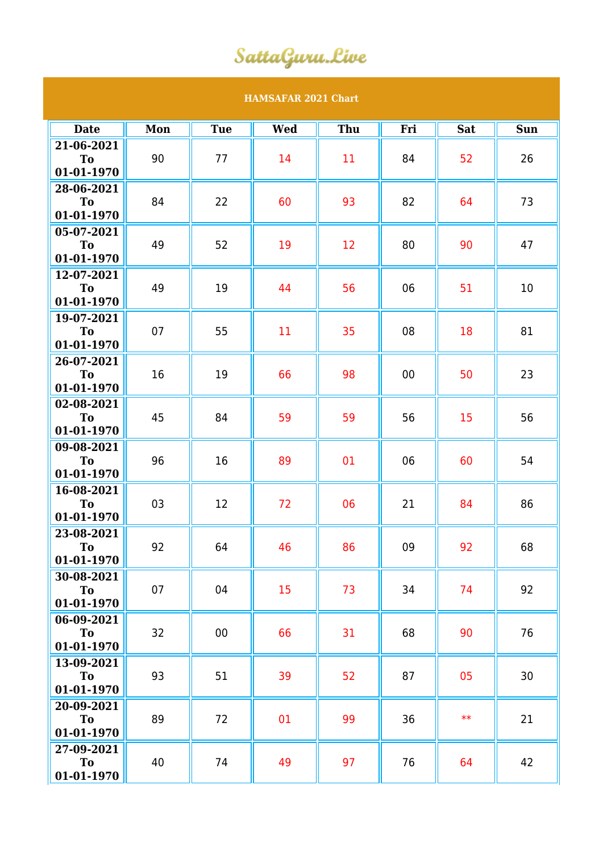## SattaGuru.Live

## **HAMSAFAR 2021 Chart**

| <b>Date</b>                           | Mon | <b>Tue</b> | <b>Wed</b> | Thu | Fri | <b>Sat</b> | <b>Sun</b> |
|---------------------------------------|-----|------------|------------|-----|-----|------------|------------|
| 21-06-2021<br>To<br>01-01-1970        | 90  | 77         | 14         | 11  | 84  | 52         | 26         |
| 28-06-2021<br>To<br>01-01-1970        | 84  | 22         | 60         | 93  | 82  | 64         | 73         |
| 05-07-2021<br><b>To</b><br>01-01-1970 | 49  | 52         | 19         | 12  | 80  | 90         | 47         |
| 12-07-2021<br><b>To</b><br>01-01-1970 | 49  | 19         | 44         | 56  | 06  | 51         | 10         |
| 19-07-2021<br><b>To</b><br>01-01-1970 | 07  | 55         | 11         | 35  | 08  | 18         | 81         |
| 26-07-2021<br>To<br>01-01-1970        | 16  | 19         | 66         | 98  | 00  | 50         | 23         |
| 02-08-2021<br>To<br>01-01-1970        | 45  | 84         | 59         | 59  | 56  | 15         | 56         |
| 09-08-2021<br>To<br>01-01-1970        | 96  | 16         | 89         | 01  | 06  | 60         | 54         |
| 16-08-2021<br>To<br>01-01-1970        | 03  | 12         | 72         | 06  | 21  | 84         | 86         |
| 23-08-2021<br>To<br>01-01-1970        | 92  | 64         | 46         | 86  | 09  | 92         | 68         |
| 30-08-2021<br>To<br>01-01-1970        | 07  | 04         | 15         | 73  | 34  | 74         | 92         |
| 06-09-2021<br><b>To</b><br>01-01-1970 | 32  | 00         | 66         | 31  | 68  | 90         | 76         |
| 13-09-2021<br>To<br>01-01-1970        | 93  | 51         | 39         | 52  | 87  | 05         | 30         |
| 20-09-2021<br>To<br>01-01-1970        | 89  | 72         | 01         | 99  | 36  | $**$       | 21         |
| 27-09-2021<br><b>To</b><br>01-01-1970 | 40  | 74         | 49         | 97  | 76  | 64         | 42         |